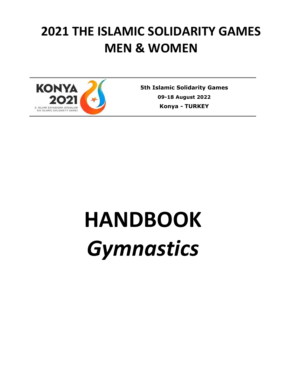# **2021 THE ISLAMIC SOLIDARITY GAMES MEN & WOMEN**



**5th Islamic Solidarity Games 09-18 August 2022 Konya** *-* **TURKEY**

# **HANDBOOK** *Gymnastics*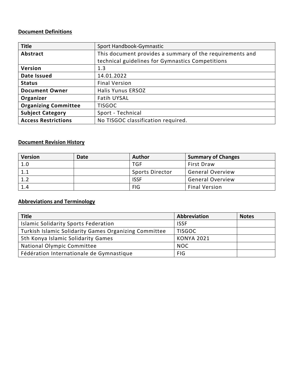# **Document Definitions**

| <b>Title</b>                | Sport Handbook-Gymnastic                                 |  |
|-----------------------------|----------------------------------------------------------|--|
| Abstract                    | This document provides a summary of the requirements and |  |
|                             | technical guidelines for Gymnastics Competitions         |  |
| Version                     | 1.3                                                      |  |
| Date Issued                 | 14.01.2022                                               |  |
| <b>Status</b>               | <b>Final Version</b>                                     |  |
| <b>Document Owner</b>       | <b>Halis Yunus ERSOZ</b>                                 |  |
| Organizer                   | <b>Fatih UYSAL</b>                                       |  |
| <b>Organizing Committee</b> | <b>TISGOC</b>                                            |  |
| <b>Subject Category</b>     | Sport - Technical                                        |  |
| <b>Access Restrictions</b>  | No TISGOC classification required.                       |  |

# **Document Revision History**

| <b>Version</b> | Date | <b>Author</b>   | <b>Summary of Changes</b> |
|----------------|------|-----------------|---------------------------|
| 1.0            |      | <b>TGF</b>      | <b>First Draw</b>         |
| 1.1            |      | Sports Director | <b>General Overview</b>   |
| 1.2            |      | <b>ISSF</b>     | <b>General Overview</b>   |
| 1.4            |      | <b>FIG</b>      | <b>Final Version</b>      |

# **Abbreviations and Terminology**

| <b>Title</b>                                          | Abbreviation      | <b>Notes</b> |
|-------------------------------------------------------|-------------------|--------------|
| <b>Islamic Solidarity Sports Federation</b>           | <b>ISSF</b>       |              |
| Turkish Islamic Solidarity Games Organizing Committee | <b>TISGOC</b>     |              |
| 5th Konya Islamic Solidarity Games                    | <b>KONYA 2021</b> |              |
| National Olympic Committee                            | <b>NOC</b>        |              |
| Fédération Internationale de Gymnastique              | <b>FIG</b>        |              |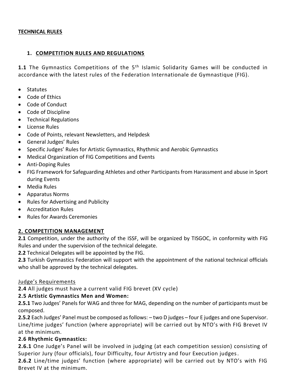#### **TECHNICAL RULES**

#### **1. COMPETITION RULES AND REGULATIONS**

**1.1** The Gymnastics Competitions of the 5<sup>th</sup> Islamic Solidarity Games will be conducted in accordance with the latest rules of the Federation Internationale de Gymnastique (FIG).

- Statutes
- Code of Ethics
- Code of Conduct
- Code of Discipline
- **•** Technical Regulations
- **•** License Rules
- Code of Points, relevant Newsletters, and Helpdesk
- General Judges' Rules
- Specific Judges' Rules for Artistic Gymnastics, Rhythmic and Aerobic Gymnastics
- Medical Organization of FIG Competitions and Events
- Anti-Doping Rules
- FIG Framework for Safeguarding Athletes and other Participants from Harassment and abuse in Sport during Events
- Media Rules
- Apparatus Norms
- Rules for Advertising and Publicity
- Accreditation Rules
- Rules for Awards Ceremonies

#### **2. COMPETITION MANAGEMENT**

**2.1** Competition, under the authority of the ISSF, will be organized by TISGOC, in conformity with FIG Rules and under the supervision of the technical delegate.

**2.2** Technical Delegates will be appointed by the FIG.

**2.3** Turkish Gymnastics Federation will support with the appointment of the national technical officials who shall be approved by the technical delegates.

#### Judge's Requirements

**2.4** All judges must have a current valid FIG brevet (XV cycle)

#### **2.5 Artistic Gymnastics Men and Women:**

**2.5.1** Two Judges' Panels for WAG and three for MAG, depending on the number of participants must be composed.

**2.5.2** Each Judges' Panel must be composed as follows: – two D judges – four E judges and one Supervisor. Line/time judges' function (where appropriate) will be carried out by NTO's with FIG Brevet IV at the minimum.

#### **2.6 Rhythmic Gymnastics:**

**2.6.1** One Judge's Panel will be involved in judging (at each competition session) consisting of Superior Jury (four officials), four Difficulty, four Artistry and four Execution judges.

**2.6.2** Line/time judges' function (where appropriate) will be carried out by NTO's with FIG Brevet IV at the minimum.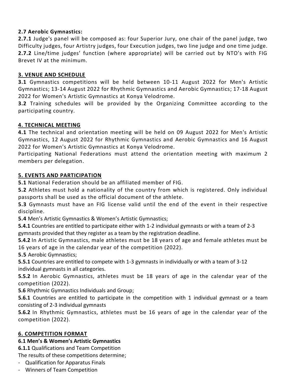# **2.7 Aerobic Gymnastics:**

**2.7.1** Judge's panel will be composed as: four Superior Jury, one chair of the panel judge, two Difficulty judges, four Artistry judges, four Execution judges, two line judge and one time judge. **2.7.2** Line/time judges' function (where appropriate) will be carried out by NTO's with FIG Brevet IV at the minimum.

#### **3. VENUE AND SCHEDULE**

**3.1** Gymnastics competitions will be held between 10-11 August 2022 for Men's Artistic Gymnastics; 13-14 August 2022 for Rhythmic Gymnastics and Aerobic Gymnastics; 17-18 August 2022 for Women's Artistic Gymnastics at Konya Velodrome.

**3.2** Training schedules will be provided by the Organizing Committee according to the participating country.

# **4. TECHNICAL MEETING**

**4.1** The technical and orientation meeting will be held on 09 August 2022 for Men's Artistic Gymnastics, 12 August 2022 for Rhythmic Gymnastics and Aerobic Gymnastics and 16 August 2022 for Women's Artistic Gymnastics at Konya Velodrome.

Participating National Federations must attend the orientation meeting with maximum 2 members per delegation.

# **5. EVENTS AND PARTICIPATION**

**5.1** National Federation should be an affiliated member of FIG.

**5.2** Athletes must hold a nationality of the country from which is registered. Only individual passports shall be used as the official document of the athlete.

**5.3** Gymnasts must have an FIG license valid until the end of the event in their respective discipline.

**5.4** Men's Artistic Gymnastics & Women's Artistic Gymnastics;

**5.4.1** Countries are entitled to participate either with 1-2 individual gymnasts or with a team of 2-3 gymnasts provided that they register as a team by the registration deadline.

**5.4.2** In Artistic Gymnastics, male athletes must be 18 years of age and female athletes must be 16 years of age in the calendar year of the competition (2022).

**5.5** Aerobic Gymnastics;

**5.5.1** Countries are entitled to compete with 1-3 gymnasts in individually or with a team of 3-12 individual gymnasts in all categories.

**5.5.2** In Aerobic Gymnastics, athletes must be 18 years of age in the calendar year of the competition (2022).

**5.6** Rhythmic Gymnastics Individuals and Group;

**5.6.1** Countries are entitled to participate in the competition with 1 individual gymnast or a team consisting of 2-3 individual gymnasts

**5.6.2** In Rhythmic Gymnastics, athletes must be 16 years of age in the calendar year of the competition (2022).

#### **6. COMPETITION FORMAT**

#### **6.1 Men's & Women's Artistic Gymnastics**

**6.1.1** Qualifications and Team Competition

The results of these competitions determine;

- Qualification for Apparatus Finals
- Winners of Team Competition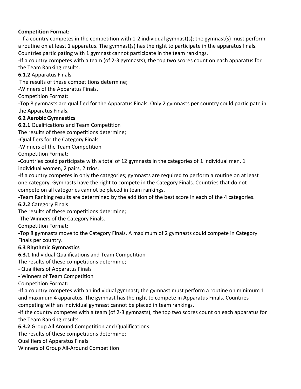# **Competition Format:**

- If a country competes in the competition with 1-2 individual gymnast(s); the gymnast(s) must perform a routine on at least 1 apparatus. The gymnast(s) has the right to participate in the apparatus finals. Countries participating with 1 gymnast cannot participate in the team rankings.

-If a country competes with a team (of 2-3 gymnasts); the top two scores count on each apparatus for the Team Ranking results.

**6.1.2** Apparatus Finals

The results of these competitions determine;

-Winners of the Apparatus Finals.

Competition Format:

-Top 8 gymnasts are qualified for the Apparatus Finals. Only 2 gymnasts per country could participate in the Apparatus Finals.

# **6.2 Aerobic Gymnastics**

**6.2.1** Qualifications and Team Competition

The results of these competitions determine;

-Qualifiers for the Category Finals

-Winners of the Team Competition

Competition Format:

-Countries could participate with a total of 12 gymnasts in the categories of 1 individual men, 1 individual women, 2 pairs, 2 trios.

-If a country competes in only the categories; gymnasts are required to perform a routine on at least one category. Gymnasts have the right to compete in the Category Finals. Countries that do not compete on all categories cannot be placed in team rankings.

-Team Ranking results are determined by the addition of the best score in each of the 4 categories.

**6.2.2** Category Finals

The results of these competitions determine;

-The Winners of the Category Finals.

Competition Format:

-Top 8 gymnasts move to the Category Finals. A maximum of 2 gymnasts could compete in Category Finals per country.

# **6.3 Rhythmic Gymnastics**

**6.3.1** Individual Qualifications and Team Competition

The results of these competitions determine;

- Qualifiers of Apparatus Finals

- Winners of Team Competition

Competition Format:

-If a country competes with an individual gymnast; the gymnast must perform a routine on minimum 1 and maximum 4 apparatus. The gymnast has the right to compete in Apparatus Finals. Countries competing with an individual gymnast cannot be placed in team rankings.

-If the country competes with a team (of 2-3 gymnasts); the top two scores count on each apparatus for the Team Ranking results.

**6.3.2** Group All Around Competition and Qualifications

The results of these competitions determine;

Qualifiers of Apparatus Finals

Winners of Group All-Around Competition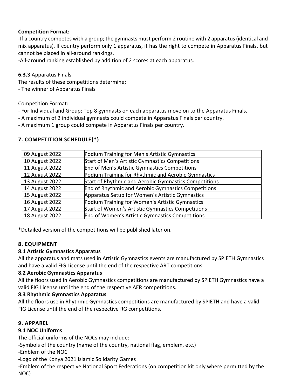# **Competition Format:**

-If a country competes with a group; the gymnasts must perform 2 routine with 2 apparatus (identical and mix apparatus). If country perform only 1 apparatus, it has the right to compete in Apparatus Finals, but cannot be placed in all-around rankings.

-All-around ranking established by addition of 2 scores at each apparatus.

# **6.3.3** Apparatus Finals

The results of these competitions determine;

- The winner of Apparatus Finals

#### Competition Format:

- For Individual and Group: Top 8 gymnasts on each apparatus move on to the Apparatus Finals.
- A maximum of 2 individual gymnasts could compete in Apparatus Finals per country.
- A maximum 1 group could compete in Apparatus Finals per country.

# **7. COMPETITION SCHEDULE(\*)**

| 09 August 2022 | Podium Training for Men's Artistic Gymnastics         |
|----------------|-------------------------------------------------------|
| 10 August 2022 | Start of Men's Artistic Gymnastics Competitions       |
| 11 August 2022 | End of Men's Artistic Gymnastics Competitions         |
| 12 August 2022 | Podium Training for Rhythmic and Aerobic Gymnastics   |
| 13 August 2022 | Start of Rhythmic and Aerobic Gymnastics Competitions |
| 14 August 2022 | End of Rhythmic and Aerobic Gymnastics Competitions   |
| 15 August 2022 | Apparatus Setup for Women's Artistic Gymnastics       |
| 16 August 2022 | Podium Training for Women's Artistic Gymnastics       |
| 17 August 2022 | Start of Women's Artistic Gymnastics Competitions     |
| 18 August 2022 | End of Women's Artistic Gymnastics Competitions       |

\*Detailed version of the competitions will be published later on.

# **8. EQUIPMENT**

#### **8.1 Artistic Gymnastics Apparatus**

All the apparatus and mats used in Artistic Gymnastics events are manufactured by SPIETH Gymnastics and have a valid FIG License until the end of the respective ART competitions.

#### **8.2 Aerobic Gymnastics Apparatus**

All the floors used in Aerobic Gymnastics competitions are manufactured by SPIETH Gymnastics have a valid FIG License until the end of the respective AER competitions.

#### **8.3 Rhythmic Gymnastics Apparatus**

All the floors use in Rhythmic Gymnastics competitions are manufactured by SPIETH and have a valid FIG License until the end of the respective RG competitions.

#### **9. APPAREL**

# **9.1 NOC Uniforms**

The official uniforms of the NOCs may include:

-Symbols of the country (name of the country, national flag, emblem, etc.)

-Emblem of the NOC

-Logo of the Konya 2021 Islamic Solidarity Games

-Emblem of the respective National Sport Federations (on competition kit only where permitted by the NOC)